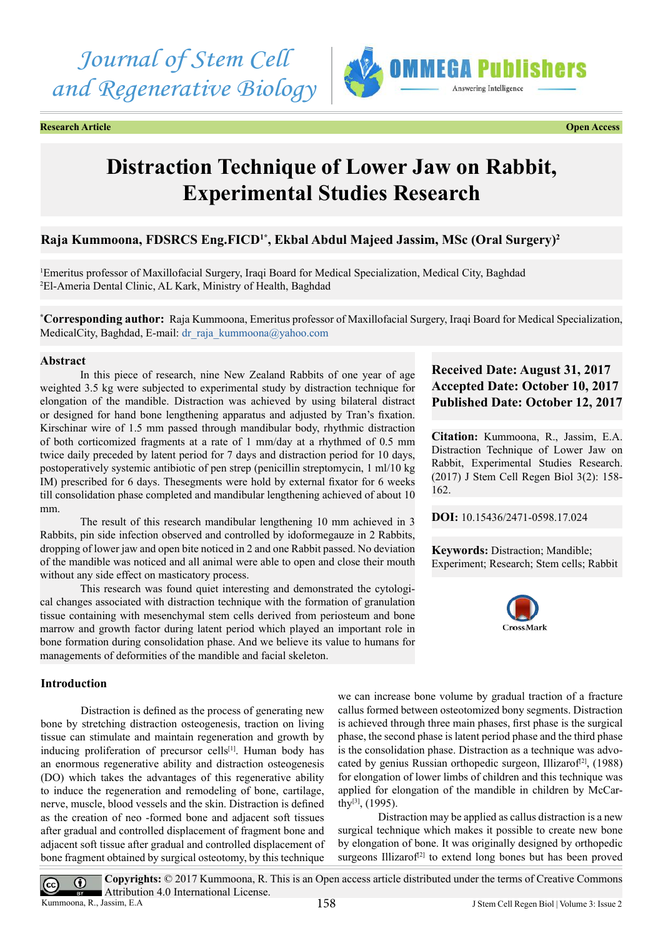*Journal of Stem Cell and Regenerative Biology*

**Research Article Open Access**



# **Distraction Technique of Lower Jaw on Rabbit, Experimental Studies Research**

# **Raja Kummoona, FDSRCS Eng.FICD1\*, Ekbal Abdul Majeed Jassim, MSc (Oral Surgery)2**

1 Emeritus professor of Maxillofacial Surgery, Iraqi Board for Medical Specialization, Medical City, Baghdad 2 El-Ameria Dental Clinic, AL Kark, Ministry of Health, Baghdad

**\* Corresponding author:** Raja Kummoona, Emeritus professor of Maxillofacial Surgery, Iraqi Board for Medical Specialization, MedicalCity, Baghdad, E-mail: [dr\\_raja\\_kummoona@yahoo.com](mailto:dr_raja_kummoona@yahoo.com)

#### **Abstract**

In this piece of research, nine New Zealand Rabbits of one year of age weighted 3.5 kg were subjected to experimental study by distraction technique for elongation of the mandible. Distraction was achieved by using bilateral distract or designed for hand bone lengthening apparatus and adjusted by Tran's fixation. Kirschinar wire of 1.5 mm passed through mandibular body, rhythmic distraction of both corticomized fragments at a rate of 1 mm/day at a rhythmed of 0.5 mm twice daily preceded by latent period for 7 days and distraction period for 10 days, postoperatively systemic antibiotic of pen strep (penicillin streptomycin, 1 ml/10 kg IM) prescribed for 6 days. Thesegments were hold by external fixator for 6 weeks till consolidation phase completed and mandibular lengthening achieved of about 10 mm.

The result of this research mandibular lengthening 10 mm achieved in 3 Rabbits, pin side infection observed and controlled by idoformegauze in 2 Rabbits, dropping of lower jaw and open bite noticed in 2 and one Rabbit passed. No deviation of the mandible was noticed and all animal were able to open and close their mouth without any side effect on masticatory process.

This research was found quiet interesting and demonstrated the cytological changes associated with distraction technique with the formation of granulation tissue containing with mesenchymal stem cells derived from periosteum and bone marrow and growth factor during latent period which played an important role in bone formation during consolidation phase. And we believe its value to humans for managements of deformities of the mandible and facial skeleton.

## **Introduction**

 $\left(\mathrm{cc}\right)$ 

Distraction is defined as the process of generating new bone by stretching distraction osteogenesis, traction on living tissue can stimulate and maintain regeneration and growth by inducing proliferation of precursor cells<sup>[1]</sup>. Human body has an enormous regenerative ability and distraction osteogenesis (DO) which takes the advantages of this regenerative ability to induce the regeneration and remodeling of bone, cartilage, nerve, muscle, blood vessels and the skin. Distraction is defined as the creation of neo -formed bone and adjacent soft tissues after gradual and controlled displacement of fragment bone and adjacent soft tissue after gradual and controlled displacement of bone fragment obtained by surgical osteotomy, by this technique

# **Received Date: August 31, 2017 Accepted Date: October 10, 2017 Published Date: October 12, 2017**

**Citation:** Kummoona, R., Jassim, E.A. Distraction Technique of Lower Jaw on Rabbit, Experimental Studies Research. (2017) J Stem Cell Regen Biol 3(2): 158- 162.

**DOI:** [10.15436/2471-0598.17.0](https://doi.org/10.15436/2471-0598.17.0
24)24

**Keywords:** Distraction; Mandible; Experiment; Research; Stem cells; Rabbit



we can increase bone volume by gradual traction of a fracture callus formed between osteotomized bony segments. Distraction is achieved through three main phases, first phase is the surgical phase, the second phase is latent period phase and the third phase is the consolidation phase. Distraction as a technique was advocated by genius Russian orthopedic surgeon, Illizarof<sup>[2]</sup>,  $(1988)$ for elongation of lower limbs of children and this technique was applied for elongation of the mandible in children by McCarth[y\[3\]](#page-4-2), (1995).

Distraction may be applied as callus distraction is a new surgical technique which makes it possible to create new bone by elongation of bone. It was originally designed by orthopedic surgeons Illizarof<sup> $[2]$ </sup> to extend long bones but has been proved

**Copyrights:** © 2017 Kummoona, R. This is an Open access article distributed under the terms of Creative Commons  $\odot$ Attribution 4.0 International License. Kummoona, R., Jassim, E.A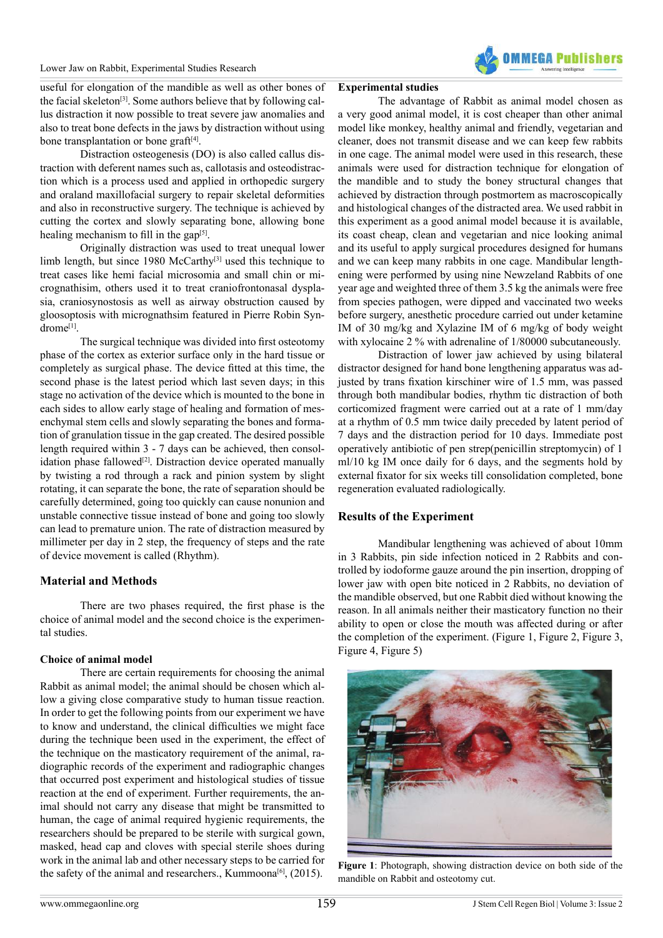

useful for elongation of the mandible as well as other bones of the facial skeleton<sup>[3]</sup>. Some authors believe that by following callus distraction it now possible to treat severe jaw anomalies and also to treat bone defects in the jaws by distraction without using bone transplantation or bone graft $[4]$ .

Distraction osteogenesis (DO) is also called callus distraction with deferent names such as, callotasis and osteodistraction which is a process used and applied in orthopedic surgery and oraland maxillofacial surgery to repair skeletal deformities and also in reconstructive surgery. The technique is achieved by cutting the cortex and slowly separating bone, allowing bone healing mechanism to fill in the gap $[5]$ .

Originally distraction was used to treat unequal lower limb length, but since 1980 McCarth[y\[3\]](#page-4-2) used this technique to treat cases like hemi facial microsomia and small chin or micrognathisim, others used it to treat craniofrontonasal dysplasia, craniosynostosis as well as airway obstruction caused by gloosoptosis with micrognathsim featured in Pierre Robin Syndrome[\[1\]](#page-4-0).

The surgical technique was divided into first osteotomy phase of the cortex as exterior surface only in the hard tissue or completely as surgical phase. The device fitted at this time, the second phase is the latest period which last seven days; in this stage no activation of the device which is mounted to the bone in each sides to allow early stage of healing and formation of mesenchymal stem cells and slowly separating the bones and formation of granulation tissue in the gap created. The desired possible length required within 3 - 7 days can be achieved, then consolidation phase fallowed<sup>[2]</sup>. Distraction device operated manually by twisting a rod through a rack and pinion system by slight rotating, it can separate the bone, the rate of separation should be carefully determined, going too quickly can cause nonunion and unstable connective tissue instead of bone and going too slowly can lead to premature union. The rate of distraction measured by millimeter per day in 2 step, the frequency of steps and the rate of device movement is called (Rhythm).

#### **Material and Methods**

There are two phases required, the first phase is the choice of animal model and the second choice is the experimental studies.

#### **Choice of animal model**

There are certain requirements for choosing the animal Rabbit as animal model; the animal should be chosen which allow a giving close comparative study to human tissue reaction. In order to get the following points from our experiment we have to know and understand, the clinical difficulties we might face during the technique been used in the experiment, the effect of the technique on the masticatory requirement of the animal, radiographic records of the experiment and radiographic changes that occurred post experiment and histological studies of tissue reaction at the end of experiment. Further requirements, the animal should not carry any disease that might be transmitted to human, the cage of animal required hygienic requirements, the researchers should be prepared to be sterile with surgical gown, masked, head cap and cloves with special sterile shoes during work in the animal lab and other necessary steps to be carried for the safety of the animal and researchers., Kummoona<sup>[6]</sup>,  $(2015)$ .

### **Experimental studies**

The advantage of Rabbit as animal model chosen as a very good animal model, it is cost cheaper than other animal model like monkey, healthy animal and friendly, vegetarian and cleaner, does not transmit disease and we can keep few rabbits in one cage. The animal model were used in this research, these animals were used for distraction technique for elongation of the mandible and to study the boney structural changes that achieved by distraction through postmortem as macroscopically and histological changes of the distracted area. We used rabbit in this experiment as a good animal model because it is available, its coast cheap, clean and vegetarian and nice looking animal and its useful to apply surgical procedures designed for humans and we can keep many rabbits in one cage. Mandibular lengthening were performed by using nine Newzeland Rabbits of one year age and weighted three of them 3.5 kg the animals were free from species pathogen, were dipped and vaccinated two weeks before surgery, anesthetic procedure carried out under ketamine IM of 30 mg/kg and Xylazine IM of 6 mg/kg of body weight with xylocaine 2 % with adrenaline of 1/80000 subcutaneously.

Distraction of lower jaw achieved by using bilateral distractor designed for hand bone lengthening apparatus was adjusted by trans fixation kirschiner wire of 1.5 mm, was passed through both mandibular bodies, rhythm tic distraction of both corticomized fragment were carried out at a rate of 1 mm/day at a rhythm of 0.5 mm twice daily preceded by latent period of 7 days and the distraction period for 10 days. Immediate post operatively antibiotic of pen strep(penicillin streptomycin) of 1 ml/10 kg IM once daily for 6 days, and the segments hold by external fixator for six weeks till consolidation completed, bone regeneration evaluated radiologically.

#### **Results of the Experiment**

Mandibular lengthening was achieved of about 10mm in 3 Rabbits, pin side infection noticed in 2 Rabbits and controlled by iodoforme gauze around the pin insertion, dropping of lower jaw with open bite noticed in 2 Rabbits, no deviation of the mandible observed, but one Rabbit died without knowing the reason. In all animals neither their masticatory function no their ability to open or close the mouth was affected during or after the completion of the experiment. (Figure 1, Figure 2, Figure 3, Figure 4, Figure 5)



**Figure 1**: Photograph, showing distraction device on both side of the mandible on Rabbit and osteotomy cut.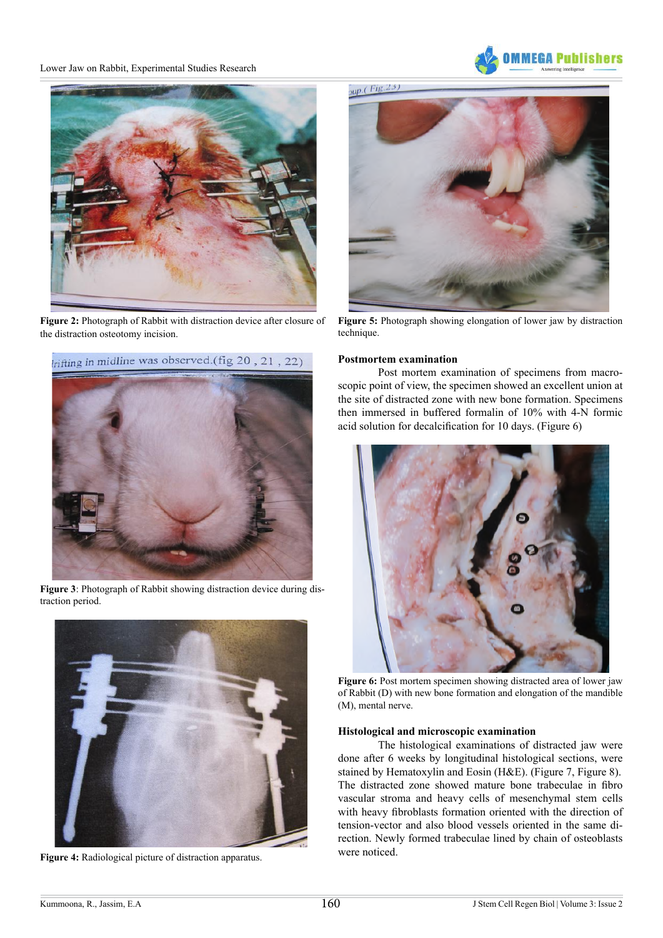#### Lower Jaw on Rabbit, Experimental Studies Research





**Figure 2:** Photograph of Rabbit with distraction device after closure of the distraction osteotomy incision.



**Figure 5:** Photograph showing elongation of lower jaw by distraction technique.



**Figure 3**: Photograph of Rabbit showing distraction device during distraction period.



**Figure 4:** Radiological picture of distraction apparatus.

#### **Postmortem examination**

Post mortem examination of specimens from macroscopic point of view, the specimen showed an excellent union at the site of distracted zone with new bone formation. Specimens then immersed in buffered formalin of 10% with 4-N formic acid solution for decalcification for 10 days. (Figure 6)



**Figure 6:** Post mortem specimen showing distracted area of lower jaw of Rabbit (D) with new bone formation and elongation of the mandible (M), mental nerve.

#### **Histological and microscopic examination**

The histological examinations of distracted jaw were done after 6 weeks by longitudinal histological sections, were stained by Hematoxylin and Eosin (H&E). (Figure 7, Figure 8). The distracted zone showed mature bone trabeculae in fibro vascular stroma and heavy cells of mesenchymal stem cells with heavy fibroblasts formation oriented with the direction of tension-vector and also blood vessels oriented in the same direction. Newly formed trabeculae lined by chain of osteoblasts were noticed.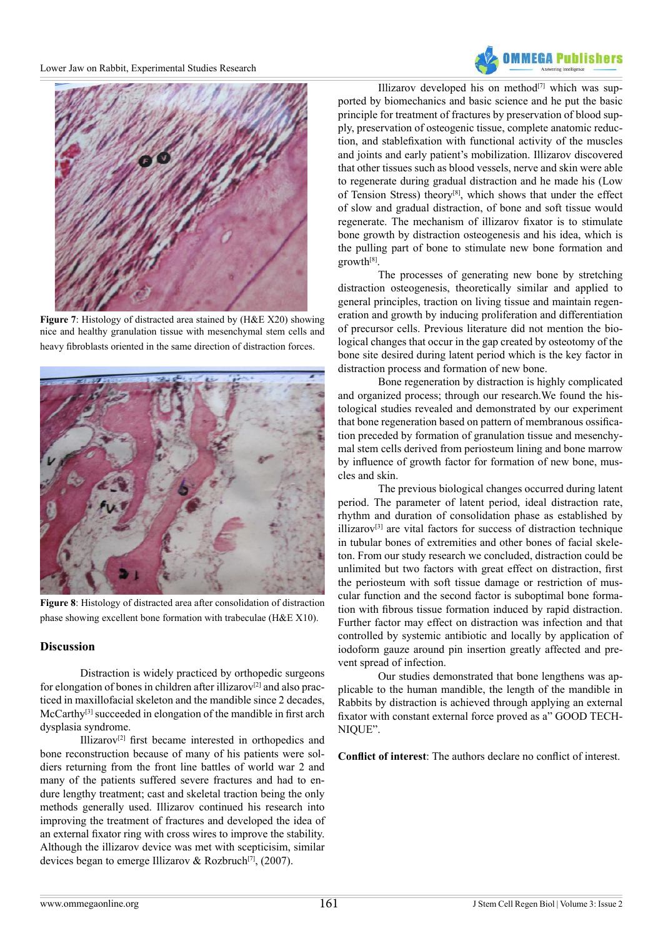



**Figure 7**: Histology of distracted area stained by (H&E X20) showing nice and healthy granulation tissue with mesenchymal stem cells and heavy fibroblasts oriented in the same direction of distraction forces.



**Figure 8**: Histology of distracted area after consolidation of distraction phase showing excellent bone formation with trabeculae (H&E X10).

## **Discussion**

Distraction is widely practiced by orthopedic surgeons for elongation of bones in children after illizarov<sup>[2]</sup> and also practiced in maxillofacial skeleton and the mandible since 2 decades, McCarthy<sup>[\[3\]](#page-4-2)</sup> succeeded in elongation of the mandible in first arch dysplasia syndrome.

Illizarov[\[2\]](#page-4-1) first became interested in orthopedics and bone reconstruction because of many of his patients were soldiers returning from the front line battles of world war 2 and many of the patients suffered severe fractures and had to endure lengthy treatment; cast and skeletal traction being the only methods generally used. Illizarov continued his research into improving the treatment of fractures and developed the idea of an external fixator ring with cross wires to improve the stability. Although the illizarov device was met with scepticisim, similar devices began to emerge Illizarov & Rozbruch<sup>[7]</sup>, (2007).

Illizarov developed his on method $[7]$  which was supported by biomechanics and basic science and he put the basic principle for treatment of fractures by preservation of blood supply, preservation of osteogenic tissue, complete anatomic reduction, and stablefixation with functional activity of the muscles and joints and early patient's mobilization. Illizarov discovered that other tissues such as blood vessels, nerve and skin were able to regenerate during gradual distraction and he made his (Low of Tension Stress) theory[\[8\],](#page-4-7) which shows that under the effect of slow and gradual distraction, of bone and soft tissue would regenerate. The mechanism of illizarov fixator is to stimulate bone growth by distraction osteogenesis and his idea, which is the pulling part of bone to stimulate new bone formation and growth[\[8\].](#page-4-7)

The processes of generating new bone by stretching distraction osteogenesis, theoretically similar and applied to general principles, traction on living tissue and maintain regeneration and growth by inducing proliferation and differentiation of precursor cells. Previous literature did not mention the biological changes that occur in the gap created by osteotomy of the bone site desired during latent period which is the key factor in distraction process and formation of new bone.

Bone regeneration by distraction is highly complicated and organized process; through our research.We found the histological studies revealed and demonstrated by our experiment that bone regeneration based on pattern of membranous ossification preceded by formation of granulation tissue and mesenchymal stem cells derived from periosteum lining and bone marrow by influence of growth factor for formation of new bone, muscles and skin.

The previous biological changes occurred during latent period. The parameter of latent period, ideal distraction rate, rhythm and duration of consolidation phase as established by illizarov[\[3\]](#page-4-2) are vital factors for success of distraction technique in tubular bones of extremities and other bones of facial skeleton. From our study research we concluded, distraction could be unlimited but two factors with great effect on distraction, first the periosteum with soft tissue damage or restriction of muscular function and the second factor is suboptimal bone formation with fibrous tissue formation induced by rapid distraction. Further factor may effect on distraction was infection and that controlled by systemic antibiotic and locally by application of iodoform gauze around pin insertion greatly affected and prevent spread of infection.

Our studies demonstrated that bone lengthens was applicable to the human mandible, the length of the mandible in Rabbits by distraction is achieved through applying an external fixator with constant external force proved as a" GOOD TECH-NIQUE".

**Conflict of interest**: The authors declare no conflict of interest.